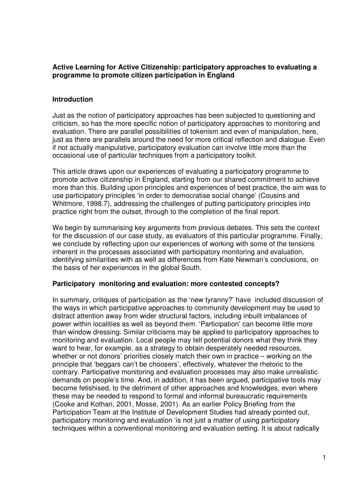# **Active Learning for Active Citizenship: participatory approaches to evaluating a programme to promote citizen participation in England**

## **Introduction**

Just as the notion of participatory approaches has been subjected to questioning and criticism, so has the more specific notion of participatory approaches to monitoring and evaluation. There are parallel possibilities of tokenism and even of manipulation, here, just as there are parallels around the need for more critical reflection and dialogue. Even if not actually manipulative, participatory evaluation can involve little more than the occasional use of particular techniques from a participatory toolkit.

This article draws upon our experiences of evaluating a participatory programme to promote active citizenship in England, starting from our shared commitment to achieve more than this. Building upon principles and experiences of best practice, the aim was to use participatory principles 'in order to democratise social change' (Cousins and Whitmore, 1998.7), addressing the challenges of putting participatory principles into practice right from the outset, through to the completion of the final report.

We begin by summarising key arguments from previous debates. This sets the context for the discussion of our case study, as evaluators of this particular programme. Finally, we conclude by reflecting upon our experiences of working with some of the tensions inherent in the processes associated with participatory monitoring and evaluation, identifying similarities with as well as differences from Kate Newman's conclusions, on the basis of her experiences in the global South.

#### **Participatory monitoring and evaluation: more contested concepts?**

In summary, critiques of participation as the 'new tyranny?' have included discussion of the ways in which participative approaches to community development may be used to distract attention away from wider structural factors, including inbuilt imbalances of power within localities as well as beyond them. 'Participation' can become little more than window dressing. Similar criticisms may be applied to participatory approaches to monitoring and evaluation. Local people may tell potential donors what they think they want to hear, for example, as a strategy to obtain desperately needed resources, whether or not donors' priorities closely match their own in practice – working on the principle that 'beggars can't be choosers', effectively, whatever the rhetoric to the contrary. Participative monitoring and evaluation processes may also make unrealistic demands on people's time. And, in addition, it has been argued, participative tools may become fetishised, to the detriment of other approaches and knowledges, even where these may be needed to respond to formal and informal bureaucratic requirements (Cooke and Kothari, 2001, Mosse, 2001). As an earlier Policy Briefing from the Participation Team at the Institute of Development Studies had already pointed out, participatory monitoring and evaluation 'is not just a matter of using participatory techniques within a conventional monitoring and evaluation setting. It is about radically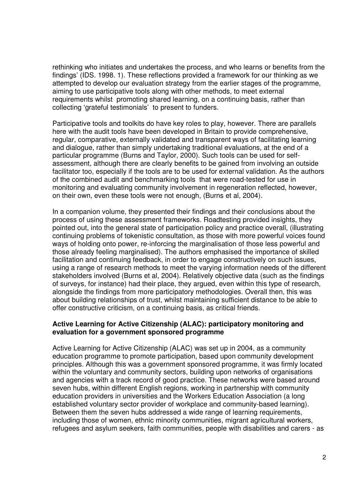rethinking who initiates and undertakes the process, and who learns or benefits from the findings' (IDS. 1998. 1). These reflections provided a framework for our thinking as we attempted to develop our evaluation strategy from the earlier stages of the programme, aiming to use participative tools along with other methods, to meet external requirements whilst promoting shared learning, on a continuing basis, rather than collecting 'grateful testimonials' to present to funders.

Participative tools and toolkits do have key roles to play, however. There are parallels here with the audit tools have been developed in Britain to provide comprehensive, regular, comparative, externally validated and transparent ways of facilitating learning and dialogue, rather than simply undertaking traditional evaluations, at the end of a particular programme (Burns and Taylor, 2000). Such tools can be used for selfassessment, although there are clearly benefits to be gained from involving an outside facilitator too, especially if the tools are to be used for external validation. As the authors of the combined audit and benchmarking tools that were road-tested for use in monitoring and evaluating community involvement in regeneration reflected, however, on their own, even these tools were not enough, (Burns et al, 2004).

In a companion volume, they presented their findings and their conclusions about the process of using these assessment frameworks. Roadtesting provided insights, they pointed out, into the general state of participation policy and practice overall, (illustrating continuing problems of tokenistic consultation, as those with more powerful voices found ways of holding onto power, re-inforcing the marginalisation of those less powerful and those already feeling marginalised). The authors emphasised the importance of skilled facilitation and continuing feedback, in order to engage constructively on such issues, using a range of research methods to meet the varying information needs of the different stakeholders involved (Burns et al, 2004). Relatively objective data (such as the findings of surveys, for instance) had their place, they argued, even within this type of research, alongside the findings from more participatory methodologies. Overall then, this was about building relationships of trust, whilst maintaining sufficient distance to be able to offer constructive criticism, on a continuing basis, as critical friends.

#### **Active Learning for Active Citizenship (ALAC): participatory monitoring and evaluation for a government sponsored programme**

Active Learning for Active Citizenship (ALAC) was set up in 2004, as a community education programme to promote participation, based upon community development principles. Although this was a government sponsored programme, it was firmly located within the voluntary and community sectors, building upon networks of organisations and agencies with a track record of good practice. These networks were based around seven hubs, within different English regions, working in partnership with community education providers in universities and the Workers Education Association (a long established voluntary sector provider of workplace and community-based learning). Between them the seven hubs addressed a wide range of learning requirements, including those of women, ethnic minority communities, migrant agricultural workers, refugees and asylum seekers, faith communities, people with disabilities and carers - as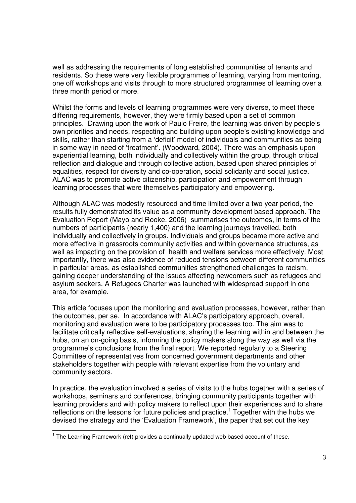well as addressing the requirements of long established communities of tenants and residents. So these were very flexible programmes of learning, varying from mentoring, one off workshops and visits through to more structured programmes of learning over a three month period or more.

Whilst the forms and levels of learning programmes were very diverse, to meet these differing requirements, however, they were firmly based upon a set of common principles. Drawing upon the work of Paulo Freire, the learning was driven by people's own priorities and needs, respecting and building upon people's existing knowledge and skills, rather than starting from a 'deficit' model of individuals and communities as being in some way in need of 'treatment'. (Woodward, 2004). There was an emphasis upon experiential learning, both individually and collectively within the group, through critical reflection and dialogue and through collective action, based upon shared principles of equalities, respect for diversity and co-operation, social solidarity and social justice. ALAC was to promote active citizenship, participation and empowerment through learning processes that were themselves participatory and empowering.

Although ALAC was modestly resourced and time limited over a two year period, the results fully demonstrated its value as a community development based approach. The Evaluation Report (Mayo and Rooke, 2006) summarises the outcomes, in terms of the numbers of participants (nearly 1,400) and the learning journeys travelled, both individually and collectively in groups. Individuals and groups became more active and more effective in grassroots community activities and within governance structures, as well as impacting on the provision of health and welfare services more effectively. Most importantly, there was also evidence of reduced tensions between different communities in particular areas, as established communities strengthened challenges to racism, gaining deeper understanding of the issues affecting newcomers such as refugees and asylum seekers. A Refugees Charter was launched with widespread support in one area, for example.

This article focuses upon the monitoring and evaluation processes, however, rather than the outcomes, per se. In accordance with ALAC's participatory approach, overall, monitoring and evaluation were to be participatory processes too. The aim was to facilitate critically reflective self-evaluations, sharing the learning within and between the hubs, on an on-going basis, informing the policy makers along the way as well via the programme's conclusions from the final report. We reported regularly to a Steering Committee of representatives from concerned government departments and other stakeholders together with people with relevant expertise from the voluntary and community sectors.

In practice, the evaluation involved a series of visits to the hubs together with a series of workshops, seminars and conferences, bringing community participants together with learning providers and with policy makers to reflect upon their experiences and to share reflections on the lessons for future policies and practice.<sup>1</sup> Together with the hubs we devised the strategy and the 'Evaluation Framework', the paper that set out the key

**TECOLET 1.1**<br><sup>1</sup> The Learning Framework (ref) provides a continually updated web based account of these.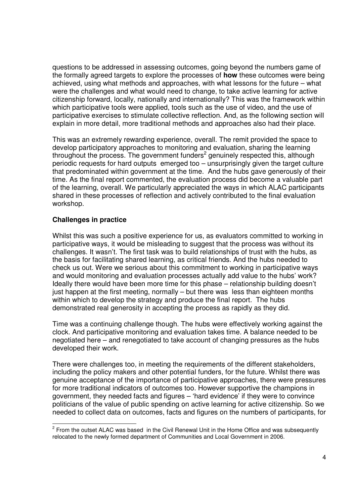questions to be addressed in assessing outcomes, going beyond the numbers game of the formally agreed targets to explore the processes of **how** these outcomes were being achieved, using what methods and approaches, with what lessons for the future – what were the challenges and what would need to change, to take active learning for active citizenship forward, locally, nationally and internationally? This was the framework within which participative tools were applied, tools such as the use of video, and the use of participative exercises to stimulate collective reflection. And, as the following section will explain in more detail, more traditional methods and approaches also had their place.

This was an extremely rewarding experience, overall. The remit provided the space to develop participatory approaches to monitoring and evaluation, sharing the learning throughout the process. The government funders<sup>2</sup> genuinely respected this, although periodic requests for hard outputs emerged too – unsurprisingly given the target culture that predominated within government at the time. And the hubs gave generously of their time. As the final report commented, the evaluation process did become a valuable part of the learning, overall. We particularly appreciated the ways in which ALAC participants shared in these processes of reflection and actively contributed to the final evaluation workshop.

## **Challenges in practice**

Whilst this was such a positive experience for us, as evaluators committed to working in participative ways, it would be misleading to suggest that the process was without its challenges. It wasn't. The first task was to build relationships of trust with the hubs, as the basis for facilitating shared learning, as critical friends. And the hubs needed to check us out. Were we serious about this commitment to working in participative ways and would monitoring and evaluation processes actually add value to the hubs' work? Ideally there would have been more time for this phase – relationship building doesn't just happen at the first meeting, normally – but there was less than eighteen months within which to develop the strategy and produce the final report. The hubs demonstrated real generosity in accepting the process as rapidly as they did.

Time was a continuing challenge though. The hubs were effectively working against the clock. And participative monitoring and evaluation takes time. A balance needed to be negotiated here – and renegotiated to take account of changing pressures as the hubs developed their work.

There were challenges too, in meeting the requirements of the different stakeholders, including the policy makers and other potential funders, for the future. Whilst there was genuine acceptance of the importance of participative approaches, there were pressures for more traditional indicators of outcomes too. However supportive the champions in government, they needed facts and figures – 'hard evidence' if they were to convince politicians of the value of public spending on active learning for active citizenship. So we needed to collect data on outcomes, facts and figures on the numbers of participants, for

 2 From the outset ALAC was based in the Civil Renewal Unit in the Home Office and was subsequently relocated to the newly formed department of Communities and Local Government in 2006.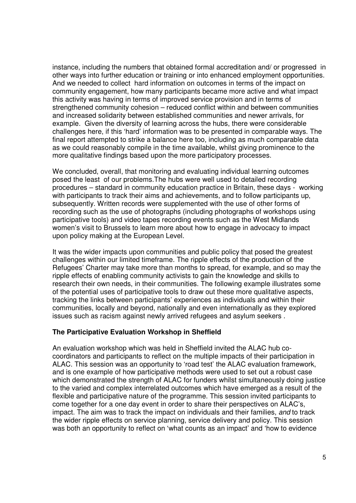instance, including the numbers that obtained formal accreditation and/ or progressed in other ways into further education or training or into enhanced employment opportunities. And we needed to collect hard information on outcomes in terms of the impact on community engagement, how many participants became more active and what impact this activity was having in terms of improved service provision and in terms of strengthened community cohesion – reduced conflict within and between communities and increased solidarity between established communities and newer arrivals, for example. Given the diversity of learning across the hubs, there were considerable challenges here, if this 'hard' information was to be presented in comparable ways. The final report attempted to strike a balance here too, including as much comparable data as we could reasonably compile in the time available, whilst giving prominence to the more qualitative findings based upon the more participatory processes.

We concluded, overall, that monitoring and evaluating individual learning outcomes posed the least of our problems.The hubs were well used to detailed recording procedures – standard in community education practice in Britain, these days - working with participants to track their aims and achievements, and to follow participants up, subsequently. Written records were supplemented with the use of other forms of recording such as the use of photographs (including photographs of workshops using participative tools) and video tapes recording events such as the West Midlands women's visit to Brussels to learn more about how to engage in advocacy to impact upon policy making at the European Level.

It was the wider impacts upon communities and public policy that posed the greatest challenges within our limited timeframe. The ripple effects of the production of the Refugees' Charter may take more than months to spread, for example, and so may the ripple effects of enabling community activists to gain the knowledge and skills to research their own needs, in their communities. The following example illustrates some of the potential uses of participative tools to draw out these more qualitative aspects, tracking the links between participants' experiences as individuals and within their communities, locally and beyond, nationally and even internationally as they explored issues such as racism against newly arrived refugees and asylum seekers .

## **The Participative Evaluation Workshop in Sheffield**

An evaluation workshop which was held in Sheffield invited the ALAC hub cocoordinators and participants to reflect on the multiple impacts of their participation in ALAC. This session was an opportunity to 'road test' the ALAC evaluation framework, and is one example of how participative methods were used to set out a robust case which demonstrated the strength of ALAC for funders whilst simultaneously doing justice to the varied and complex interrelated outcomes which have emerged as a result of the flexible and participative nature of the programme. This session invited participants to come together for a one day event in order to share their perspectives on ALAC's, impact. The aim was to track the impact on individuals and their families, and to track the wider ripple effects on service planning, service delivery and policy. This session was both an opportunity to reflect on 'what counts as an impact' and 'how to evidence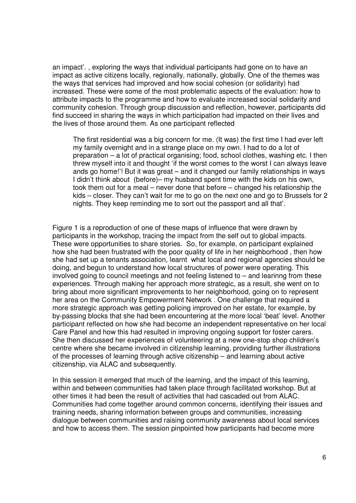an impact'. , exploring the ways that individual participants had gone on to have an impact as active citizens locally, regionally, nationally, globally. One of the themes was the ways that services had improved and how social cohesion (or solidarity) had increased. These were some of the most problematic aspects of the evaluation: how to attribute impacts to the programme and how to evaluate increased social solidarity and community cohesion. Through group discussion and reflection, however, participants did find succeed in sharing the ways in which participation had impacted on their lives and the lives of those around them. As one participant reflected

The first residential was a big concern for me. (It was) the first time I had ever left my family overnight and in a strange place on my own. I had to do a lot of preparation – a lot of practical organising; food, school clothes, washing etc. I then threw myself into it and thought 'if the worst comes to the worst I can always leave ands go home!'! But it was great – and it changed our family relationships in ways I didn't think about (before)– my husband spent time with the kids on his own, took them out for a meal – never done that before – changed his relationship the kids – closer. They can't wait for me to go on the next one and go to Brussels for 2 nights. They keep reminding me to sort out the passport and all that'.

Figure 1 is a reproduction of one of these maps of influence that were drawn by participants in the workshop, tracing the impact from the self out to global impacts. These were opportunities to share stories. So, for example, on participant explained how she had been frustrated with the poor quality of life in her neighborhood , then how she had set up a tenants association, learnt what local and regional agencies should be doing, and begun to understand how local structures of power were operating. This involved going to council meetings and not feeling listened to – and learinng from these experiences. Through making her approach more strategic, as a result, she went on to bring about more significant improvements to her neighborhood, going on to represent her area on the Community Empowerment Network . One challenge that required a more strategic approach was getting policing improved on her estate, for example, by by-passing blocks that she had been encountering at the more local 'beat' level. Another participant reflected on how she had become an independent representative on her local Care Panel and how this had resulted in improving ongoing support for foster carers. She then discussed her experiences of volunteering at a new one-stop shop children's centre where she became involved in citizenship learning, providing further illustrations of the processes of learning through active citizenship – and learning about active citizenship, via ALAC and subsequently.

In this session it emerged that much of the learning, and the impact of this learning, within and between communities had taken place through facilitated workshop. But at other times it had been the result of activities that had cascaded out from ALAC. Communities had come together around common concerns, identifying their issues and training needs, sharing information between groups and communities, increasing dialogue between communities and raising community awareness about local services and how to access them. The session pinpointed how participants had become more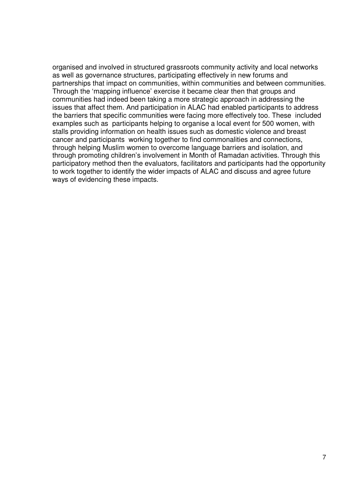organised and involved in structured grassroots community activity and local networks as well as governance structures, participating effectively in new forums and partnerships that impact on communities, within communities and between communities. Through the 'mapping influence' exercise it became clear then that groups and communities had indeed been taking a more strategic approach in addressing the issues that affect them. And participation in ALAC had enabled participants to address the barriers that specific communities were facing more effectively too. These included examples such as participants helping to organise a local event for 500 women, with stalls providing information on health issues such as domestic violence and breast cancer and participants working together to find commonalities and connections, through helping Muslim women to overcome language barriers and isolation, and through promoting children's involvement in Month of Ramadan activities. Through this participatory method then the evaluators, facilitators and participants had the opportunity to work together to identify the wider impacts of ALAC and discuss and agree future ways of evidencing these impacts.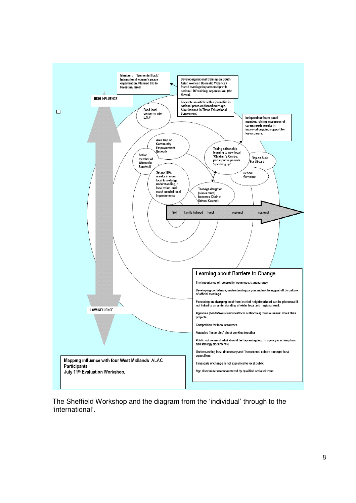

The Sheffield Workshop and the diagram from the 'individual' through to the 'international'.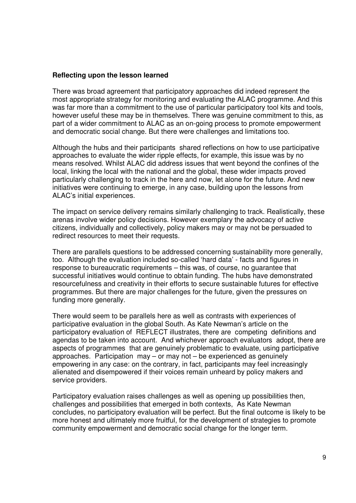#### **Reflecting upon the lesson learned**

There was broad agreement that participatory approaches did indeed represent the most appropriate strategy for monitoring and evaluating the ALAC programme. And this was far more than a commitment to the use of particular participatory tool kits and tools, however useful these may be in themselves. There was genuine commitment to this, as part of a wider commitment to ALAC as an on-going process to promote empowerment and democratic social change. But there were challenges and limitations too.

Although the hubs and their participants shared reflections on how to use participative approaches to evaluate the wider ripple effects, for example, this issue was by no means resolved. Whilst ALAC did address issues that went beyond the confines of the local, linking the local with the national and the global, these wider impacts proved particularly challenging to track in the here and now, let alone for the future. And new initiatives were continuing to emerge, in any case, building upon the lessons from ALAC's initial experiences.

The impact on service delivery remains similarly challenging to track. Realistically, these arenas involve wider policy decisions. However exemplary the advocacy of active citizens, individually and collectively, policy makers may or may not be persuaded to redirect resources to meet their requests.

There are parallels questions to be addressed concerning sustainability more generally, too. Although the evaluation included so-called 'hard data' - facts and figures in response to bureaucratic requirements – this was, of course, no guarantee that successful initiatives would continue to obtain funding. The hubs have demonstrated resourcefulness and creativity in their efforts to secure sustainable futures for effective programmes. But there are major challenges for the future, given the pressures on funding more generally.

There would seem to be parallels here as well as contrasts with experiences of participative evaluation in the global South. As Kate Newman's article on the participatory evaluation of REFLECT illustrates, there are competing definitions and agendas to be taken into account. And whichever approach evaluators adopt, there are aspects of programmes that are genuinely problematic to evaluate, using participative approaches. Participation may – or may not – be experienced as genuinely empowering in any case: on the contrary, in fact, participants may feel increasingly alienated and disempowered if their voices remain unheard by policy makers and service providers.

Participatory evaluation raises challenges as well as opening up possibilities then, challenges and possibilities that emerged in both contexts, As Kate Newman concludes, no participatory evaluation will be perfect. But the final outcome is likely to be more honest and ultimately more fruitful, for the development of strategies to promote community empowerment and democratic social change for the longer term.